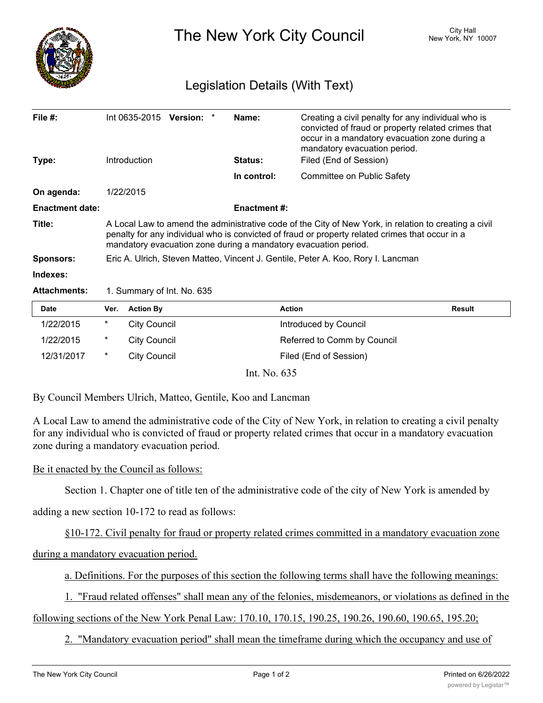

The New York City Council New York, NY 10007

## Legislation Details (With Text)

| File $#$ :             | $Int 0635-2015$ Version:                                                                                                                                                                                                                                                    |  |  | Name:               | Creating a civil penalty for any individual who is<br>convicted of fraud or property related crimes that<br>occur in a mandatory evacuation zone during a<br>mandatory evacuation period. |  |
|------------------------|-----------------------------------------------------------------------------------------------------------------------------------------------------------------------------------------------------------------------------------------------------------------------------|--|--|---------------------|-------------------------------------------------------------------------------------------------------------------------------------------------------------------------------------------|--|
| Type:                  | Introduction                                                                                                                                                                                                                                                                |  |  | <b>Status:</b>      | Filed (End of Session)                                                                                                                                                                    |  |
|                        |                                                                                                                                                                                                                                                                             |  |  | In control:         | Committee on Public Safety                                                                                                                                                                |  |
| On agenda:             | 1/22/2015                                                                                                                                                                                                                                                                   |  |  |                     |                                                                                                                                                                                           |  |
| <b>Enactment date:</b> |                                                                                                                                                                                                                                                                             |  |  | <b>Enactment #:</b> |                                                                                                                                                                                           |  |
| Title:                 | A Local Law to amend the administrative code of the City of New York, in relation to creating a civil<br>penalty for any individual who is convicted of fraud or property related crimes that occur in a<br>mandatory evacuation zone during a mandatory evacuation period. |  |  |                     |                                                                                                                                                                                           |  |
| <b>Sponsors:</b>       | Eric A. Ulrich, Steven Matteo, Vincent J. Gentile, Peter A. Koo, Rory I. Lancman                                                                                                                                                                                            |  |  |                     |                                                                                                                                                                                           |  |
| Indexes:               |                                                                                                                                                                                                                                                                             |  |  |                     |                                                                                                                                                                                           |  |
| <b>Attachments:</b>    | 1. Summary of Int. No. 635                                                                                                                                                                                                                                                  |  |  |                     |                                                                                                                                                                                           |  |

| <b>Date</b> | Ver.    | <b>Action By</b> | <b>Action</b>               | Result |
|-------------|---------|------------------|-----------------------------|--------|
| 1/22/2015   | $\star$ | City Council     | Introduced by Council       |        |
| 1/22/2015   | *       | City Council     | Referred to Comm by Council |        |
| 12/31/2017  |         | City Council     | Filed (End of Session)      |        |

Int. No. 635

By Council Members Ulrich, Matteo, Gentile, Koo and Lancman

A Local Law to amend the administrative code of the City of New York, in relation to creating a civil penalty for any individual who is convicted of fraud or property related crimes that occur in a mandatory evacuation zone during a mandatory evacuation period.

## Be it enacted by the Council as follows:

Section 1. Chapter one of title ten of the administrative code of the city of New York is amended by

adding a new section 10-172 to read as follows:

§10-172. Civil penalty for fraud or property related crimes committed in a mandatory evacuation zone

during a mandatory evacuation period.

a. Definitions. For the purposes of this section the following terms shall have the following meanings:

1. "Fraud related offenses" shall mean any of the felonies, misdemeanors, or violations as defined in the

following sections of the New York Penal Law: 170.10, 170.15, 190.25, 190.26, 190.60, 190.65, 195.20;

2. "Mandatory evacuation period" shall mean the timeframe during which the occupancy and use of